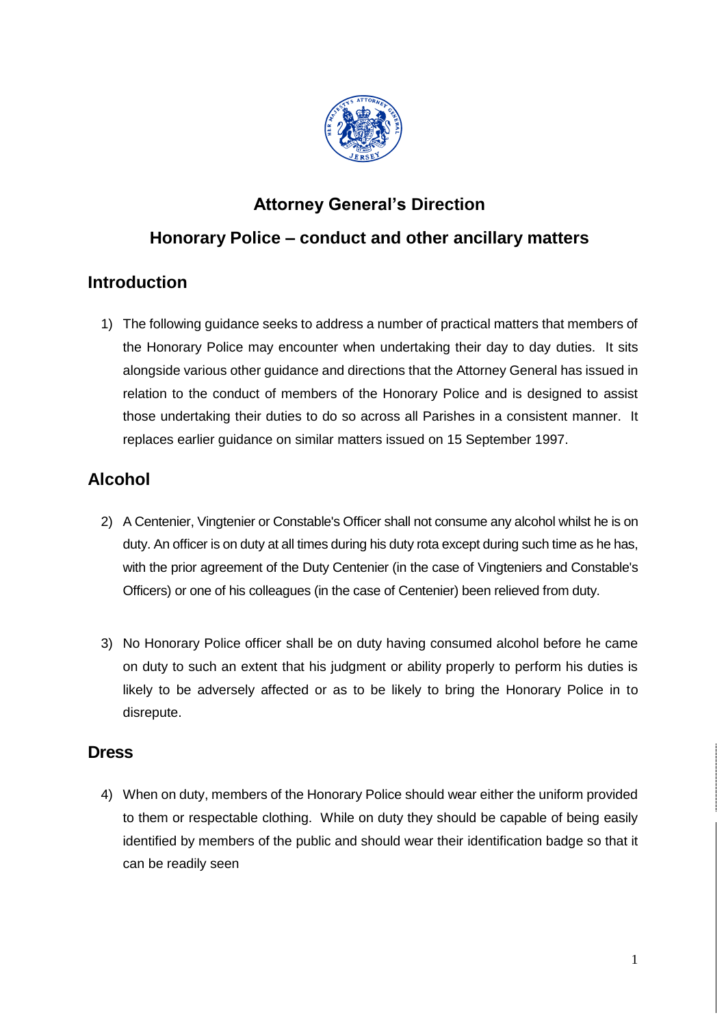

# **Attorney General's Direction**

## **Honorary Police – conduct and other ancillary matters**

### **Introduction**

1) The following guidance seeks to address a number of practical matters that members of the Honorary Police may encounter when undertaking their day to day duties. It sits alongside various other guidance and directions that the Attorney General has issued in relation to the conduct of members of the Honorary Police and is designed to assist those undertaking their duties to do so across all Parishes in a consistent manner. It replaces earlier guidance on similar matters issued on 15 September 1997.

## **Alcohol**

- 2) A Centenier, Vingtenier or Constable's Officer shall not consume any alcohol whilst he is on duty. An officer is on duty at all times during his duty rota except during such time as he has, with the prior agreement of the Duty Centenier (in the case of Vingteniers and Constable's Officers) or one of his colleagues (in the case of Centenier) been relieved from duty.
- 3) No Honorary Police officer shall be on duty having consumed alcohol before he came on duty to such an extent that his judgment or ability properly to perform his duties is likely to be adversely affected or as to be likely to bring the Honorary Police in to disrepute.

#### **Dress**

4) When on duty, members of the Honorary Police should wear either the uniform provided to them or respectable clothing. While on duty they should be capable of being easily identified by members of the public and should wear their identification badge so that it can be readily seen